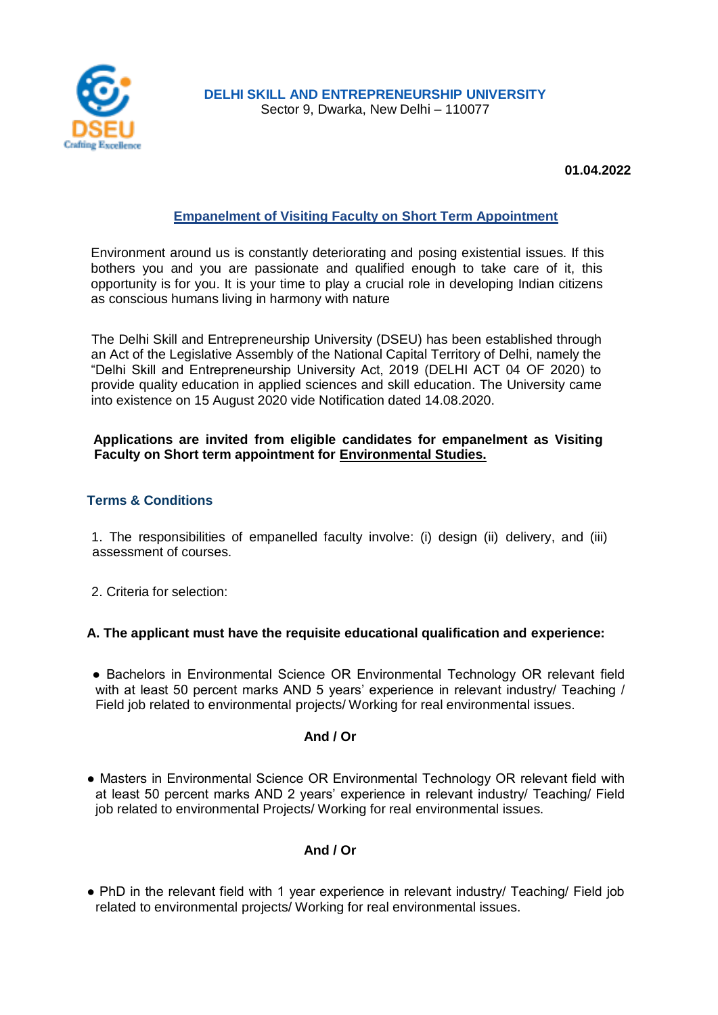

**DELHI SKILL AND ENTREPRENEURSHIP UNIVERSITY** Sector 9, Dwarka, New Delhi – 110077

**01.04.2022**

# **Empanelment of Visiting Faculty on Short Term Appointment**

Environment around us is constantly deteriorating and posing existential issues. If this bothers you and you are passionate and qualified enough to take care of it, this opportunity is for you. It is your time to play a crucial role in developing Indian citizens as conscious humans living in harmony with nature

The Delhi Skill and Entrepreneurship University (DSEU) has been established through an Act of the Legislative Assembly of the National Capital Territory of Delhi, namely the "Delhi Skill and Entrepreneurship University Act, 2019 (DELHI ACT 04 OF 2020) to provide quality education in applied sciences and skill education. The University came into existence on 15 August 2020 vide Notification dated 14.08.2020.

#### **Applications are invited from eligible candidates for empanelment as Visiting Faculty on Short term appointment for Environmental Studies.**

#### **Terms & Conditions**

1. The responsibilities of empanelled faculty involve: (i) design (ii) delivery, and (iii) assessment of courses.

2. Criteria for selection:

#### **A. The applicant must have the requisite educational qualification and experience:**

● Bachelors in Environmental Science OR Environmental Technology OR relevant field with at least 50 percent marks AND 5 years' experience in relevant industry/ Teaching / Field job related to environmental projects/ Working for real environmental issues.

### **And / Or**

● Masters in Environmental Science OR Environmental Technology OR relevant field with at least 50 percent marks AND 2 years' experience in relevant industry/ Teaching/ Field job related to environmental Projects/ Working for real environmental issues.

### **And / Or**

● PhD in the relevant field with 1 year experience in relevant industry/ Teaching/ Field job related to environmental projects/ Working for real environmental issues.